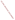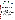## **THE ENVIRONMENTAL TECHNOLOGY VERIFICATION**







|  |  | <b>ETV Joint Verification Statement</b> |  |
|--|--|-----------------------------------------|--|
|--|--|-----------------------------------------|--|

|                                      | TECHNOLOGY TYPE: MULTI-PARAMETER WATER MONITORS<br><b>FOR DISTRIBUTION SYSTEMS</b>                           |                                                    |
|--------------------------------------|--------------------------------------------------------------------------------------------------------------|----------------------------------------------------|
| <b>APPLICATION:</b>                  | <b>MONITORING DRINKING WATER QUALITY</b>                                                                     |                                                    |
|                                      | <b>TECHNOLOGY NAME: Water Distribution Monitoring Panel and Event</b><br>Monitor <sup>™</sup> Trigger System |                                                    |
| <b>COMPANY:</b>                      | <b>Hach Company</b>                                                                                          |                                                    |
| <b>ADDRESS:</b>                      | <b>P.O. Box 389</b><br>Loveland, Colorado 80538                                                              | PHONE: 800-227-4224<br>970-669-2932<br><b>FAX:</b> |
| <b>WEB SITE:</b><br>$E\text{-}MAIL:$ | www.hach.com<br>dkroll@hach.com                                                                              |                                                    |
|                                      |                                                                                                              |                                                    |

The U.S. Environmental Protection Agency (EPA) supports the Environmental Technology Verification (ETV) Program to facilitate the deployment of innovative or improved environmental technologies through performance verification and dissemination of information. The goal of the ETV Program is to further environmental protection by accelerating the acceptance and use of improved and cost-effective technologies. ETV seeks to achieve this goal by providing high-quality, peer-reviewed data on technology performance to those involved in the design, distribution, financing, permitting, purchase, and use of environmental technologies. Information and ETV documents are available at [www.epa.gov/etv.](http://www.epa.gov/etv)

ETV works in partnership with recognized standards and testing organizations, with stakeholder groups (consisting of buyers, vendor organizations, and permitters), and with individual technology developers. The program evaluates the performance of innovative technologies by developing test plans that are responsive to the needs of stakeholders, conducting field or laboratory tests (as appropriate), collecting and analyzing data, and preparing peer-reviewed reports. All evaluations are conducted in accordance with rigorous quality assurance (QA) protocols to ensure that data of known and adequate quality are generated and that the results are defensible.

The Advanced Monitoring Systems (AMS) Center, one of six technology areas under ETV, is operated by Battelle in cooperation with EPA's National Exposure Research Laboratory. The AMS Center evaluated the performance of the Hach Company Water Distribution Monitoring Panel (WDMP), as well as the Hach Event Monitor™ Trigger System (EMTS), in continuously measuring total chlorine, turbidity, temperature, conductivity, pH, and total organic carbon (TOC) in drinking water. This verification statement provides a summary of the test results.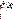## **VERIFICATION TEST DESCRIPTION**

The performance of the WDMP and EMTS units was assessed in terms of their accuracy, response to injected contaminants, inter-unit reproducibility, ease of use, and data acquisition. The verification test was conducted between August 9 and November 12, 2004, and consisted of four stages, each designed to evaluate a particular performance characteristic of the WDMP and EMTS units. The first three stages of the test were conducted using a recirculating pipe loop at the U.S. EPA's Test and Evaluation Facility in Cincinnati, Ohio. Stage 4 used a singlepass pipe at the same facility.

In the first stage of this verification test, the accuracy of the measurements made by the WDMP units was evaluated during eight, 4-hour periods of stable water quality conditions by comparing each WDMP unit measurement to a grab sample result generated each hour using a standard laboratory reference method and then calculating the percent difference  $(\%D)$ . The second stage of the verification test involved evaluating the response of the WDMP units to changes in water quality parameters caused by injecting contaminants (nicotine, arsenic trioxide, and aldicarb) into the pipe loop. Two injections of three contaminants were made into the recirculating pipe loop containing finished Cincinnati drinking water. Grab samples were collected prior to the contaminant injections and at 3, 15, and 60 minutes after injection to confirm the response of each water quality parameter, whether it was an increase, decrease, or no change. In the first phase of Stage 3 of the verification test, the performance of the WDMP units was evaluated during 52 days of continuous operation, throughout which reference samples were collected once daily. The final phase of Stage 3 (which immediately followed the first phase of Stage 3 and lasted approximately one week) consisted of a two-step evaluation of the WDMP to determine whether this length of operation would negatively affect results. First, as during Stage 1, a reference grab sample was collected every hour during a 4-hour analysis period and analyzed using the standard reference methods. Again, this was done to define a formal time period of stable water quality conditions over which the accuracy of the WDMP could be evaluated. Second, to evaluate the response of the WDMP to contaminant injection after the extended deployment, the duplicate injection of aldicarb, which was also included in the Stage 2 testing, was repeated. In addition, a pure *E. coli* culture, including the *E. coli* and the growth medium, was included as a second injected contaminant during Stage 3. The fourth and final stage of the verification test involved testing whether the EMTS detected the injection of 13 contaminants (aldicarb, arsenic trioxide, colchicine, dichlorvos, dicamba, *E. coli* bacteria, glyphosate, lead nitrate, mercuric chloride, methanol, nicotine, potassium ferricyanide, and sodium fluoroacetate), as well as whether it correctly identified the contaminants. Because the Stage 4 results were qualitative, grab samples were not collected. Throughout the test, inter-unit reproducibility was assessed by comparing the results of two identical units operating simultaneously. Ease of use was documented by technicians who operated and maintained the units, as well as the Battelle Verification Test Coordinator.

QA oversight of verification testing was provided by Battelle and EPA. Battelle QA staff conducted a technical systems audit, a performance evaluation audit, and a data quality audit of 10% of the test data.

This verification statement, the full report on which it is based, and the test/QA plan for this verification test are all available at [www.epa.gov/etv/centers/center1.html.](http://www.epa.gov/etv/centers/center1.html)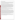## **TECHNOLOGY DESCRIPTION**

This verification report provides results for the verification testing of the Hach WDMP, as well as the EMTS, which functions in concert with the WDMP. For the purposes of this report, the astroTOC online ultraviolet (UV) TOC analyzer was considered a part of the WDMP, even though the TOC analyzer is actually a stand-alone continuous monitor. Following is a description of the combined system, based on information provided by the vendor. The information provided below was not verified in this test.

The WDMP contains online monitors for free or total chlorine, pH, turbidity, electrolytic conductivity, temperature, sample pressure, and TOC. Chlorine residual is measured by a Hach CL17 chlorine analyzer. The CL17 collects a water sample every 2.5 minutes and uses the EPA-approved colorimetric diethyl-p-phenylene diamine method. The CL17 uses minimal reagents and a mixing system that operates with no moving parts, including a self-cleaning stir bar in the sample chamber. A differential pH electrode, which uses a pH buffer as a reference point, measures pH. Turbidity is measured using a Hach 1720D process turbidimeter. The sample flows continuously through a patented bubble removal system that vents entrained air from the sample, eliminating interference in low-level turbidity measurement. Incandescent light is directed from the sensor head assembly down into the turbidimeter body and is scattered by suspended particles in the sample. A sensor detects light scattered at 90 degrees from the incident beam, which is a measure of the turbidity in the water. Electrolytic conductivity is continuously measured by a two-electrode cell. Temperature is measured by the temperature-sensing element in the conductivity cell.

The astroTOC UV analyzer combines a chemical and UV oxidation technique in a low-temperature reactor to measure the TOC. A 4-20 mA analog signal carries the TOC information to the EMTS. The WDMP is fed by a single, 1/2-inch sample line. Free-flowing waste drains through a single outlet. A sample line runs from the WDMP to the astroTOC, which has a drain line from a single outlet.

The EMTS integrates the multiple sensor outputs from the WDMP and astroTOC. Once each minute, software applies an algorithm (patent pending) to the sensor measurements, calculating the site's water quality baseline. The EMTS alarms when the trigger signal exceeds a trigger threshold, indicating an "event." The EMTS may be equipped with an agent library containing profiles of various contaminants. The EMTS also contains a plant event library that has no entries when the system is first installed. If an event occurs and its signature cannot be matched to any signature in the agent library, the plant event library is searched for a match. If a match is found, the event is reported. If no match is found, the signature for the event is stored in case the event recurs. In addition to a trigger signal alarm, the EMTS can also alarm on high/low parameter excursions. It logs all input data, trigger signal values, and diagnostic data in a database that can be extracted to a memory stick. Operators can view and recall logged data for each parameter and the trigger signal using a touch-screen. The EMTS can also act as "slave" on an RS485 Modbus network to provide data whenever polled by a Modbus "master."

The combined system of the WDMP and the EMTS, designed for wall or rack mounting, is approximately 3.3 feet tall by 6.6 feet wide. The WDMP costs \$12,800, the EMTS costs \$8,450, and the online TOC analyzer costs \$14,076 in the recommended configuration for a total cost of approximately \$35,000 for the units tested. The monthly cost for consumables is approximately \$260.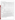## **VERIFICATION OF PERFORMANCE**

| <b>Evaluation Parameter</b>                                               |                                                                                                                                                                                                                                                                                                                                                                                                                                                                                                                                                                                                                                 |             | <b>Total</b><br><b>Chlorine</b> | <b>Turbidity</b>                 | Tem-<br>perature           | Conductivity            | pH                        | <b>TOC</b>                       |  |  |
|---------------------------------------------------------------------------|---------------------------------------------------------------------------------------------------------------------------------------------------------------------------------------------------------------------------------------------------------------------------------------------------------------------------------------------------------------------------------------------------------------------------------------------------------------------------------------------------------------------------------------------------------------------------------------------------------------------------------|-------------|---------------------------------|----------------------------------|----------------------------|-------------------------|---------------------------|----------------------------------|--|--|
| Stage 1-<br>Accuracy                                                      | Units 1 and 2, range<br>of %D (median)                                                                                                                                                                                                                                                                                                                                                                                                                                                                                                                                                                                          |             | $-47.4$ to 4.5<br>$(-3.9)$      | $-53.9$ to $-1.3$<br>$(-34.1)$   | $-3.0$ to 44.3<br>$(-0.2)$ | $-15.5$ to 8.1<br>(2.2) | $-6.6$ to 3.1<br>(0.9)    | $-64.7$ to $147.5$<br>$(-14.8)$  |  |  |
| Stage 2-<br><b>Response to</b><br>Injected<br><b>Contaminants</b>         | Nicotine                                                                                                                                                                                                                                                                                                                                                                                                                                                                                                                                                                                                                        | Reference   | $\equiv$                        | (a)                              | NC                         | NC                      | NC                        | $\ddot{}$                        |  |  |
|                                                                           |                                                                                                                                                                                                                                                                                                                                                                                                                                                                                                                                                                                                                                 | <b>WDMP</b> | $\bar{a}$                       | $+$                              | $NC$                       | NC                      | NC                        | $+$                              |  |  |
|                                                                           | Arsenic<br>trioxide                                                                                                                                                                                                                                                                                                                                                                                                                                                                                                                                                                                                             | Reference   | $\overline{\phantom{m}}$        | (a)                              | NC                         | $\ddot{}$               | $\ddot{}$                 | NC                               |  |  |
|                                                                           |                                                                                                                                                                                                                                                                                                                                                                                                                                                                                                                                                                                                                                 | <b>WDMP</b> | $\qquad \qquad -$               | $+$                              | $NC$                       | $+$                     | $+$                       | <b>NC</b>                        |  |  |
|                                                                           | Aldicarb                                                                                                                                                                                                                                                                                                                                                                                                                                                                                                                                                                                                                        | Reference   |                                 | (a)                              | <b>NC</b>                  | NC                      | <b>NC</b>                 | $+$                              |  |  |
|                                                                           |                                                                                                                                                                                                                                                                                                                                                                                                                                                                                                                                                                                                                                 | <b>WDMP</b> | $\equiv$                        | $+$                              | NC                         | NC                      | <b>NC</b>                 | $\ddot{}$                        |  |  |
| Stage 3-<br><b>Accuracy During</b><br><b>Extended</b><br>Deployment       | Units 1 and 2, range<br>of %D (median)                                                                                                                                                                                                                                                                                                                                                                                                                                                                                                                                                                                          |             | $-15.9$ to 6.9<br>$(-3.2)$      | $-81.1$ to<br>$245.5(-21.3)$     | $-7.4$ to 8.5<br>$(-0.1)$  | $-1.8$ to 9.6<br>(4.8)  | $-2.7$ to 0.5<br>$(-0.9)$ | $-47.3$ to $103.0$<br>$(-6.9)$   |  |  |
| Stage 3-<br><b>Accuracy After</b><br><b>Extended</b><br><b>Deployment</b> | Unit 1, %D                                                                                                                                                                                                                                                                                                                                                                                                                                                                                                                                                                                                                      |             | $-4.9$                          | $-5.9$                           | $-0.2$                     | 6.7                     | $-2.2$                    | $-20.5$                          |  |  |
|                                                                           | Unit 2, %D                                                                                                                                                                                                                                                                                                                                                                                                                                                                                                                                                                                                                      |             | $-4.9$                          | $-11.8$                          | 4.6                        | 0.3                     | 0.2                       | 3.4                              |  |  |
| Stage 3-<br><b>Response to</b><br>Injected<br><b>Contaminants</b>         | E. coli                                                                                                                                                                                                                                                                                                                                                                                                                                                                                                                                                                                                                         | Reference   | $\overline{\phantom{m}}$        | $+$ <sup>(b)</sup>               | <b>NC</b>                  | $\boldsymbol{+}$        |                           | $\boldsymbol{+}$                 |  |  |
|                                                                           |                                                                                                                                                                                                                                                                                                                                                                                                                                                                                                                                                                                                                                 | <b>WDMP</b> | $\qquad \qquad -$               | $+$                              | NC                         | $+$                     | $\overline{\phantom{0}}$  | $+$                              |  |  |
|                                                                           | Aldicarb                                                                                                                                                                                                                                                                                                                                                                                                                                                                                                                                                                                                                        | Reference   | $\qquad \qquad -$               | $+$ <sup>(b)</sup>               | $NC$                       | NC                      |                           | $\ddot{}$                        |  |  |
|                                                                           |                                                                                                                                                                                                                                                                                                                                                                                                                                                                                                                                                                                                                                 | <b>WDMP</b> |                                 | $+$                              | <b>NC</b>                  | NC                      | —                         | $\begin{array}{c} + \end{array}$ |  |  |
| Injection<br><b>Summary</b>                                               | Total chlorine and TOC were dramatically affected by injections of nicotine, E. coli, and aldicarb; and<br>turbidity, pH, and conductivity were affected by some or all of the injections, but not as consistently as total<br>chlorine and TOC. Aldicarb altered the pH during Stage 3, but not Stage 2.                                                                                                                                                                                                                                                                                                                       |             |                                 |                                  |                            |                         |                           |                                  |  |  |
| Inter-unit<br><b>Reproducibility</b><br>(Unit 2 vs. Unit 1)               | Slope (intercept)                                                                                                                                                                                                                                                                                                                                                                                                                                                                                                                                                                                                               |             | 0.98                            | 0.97                             | 0.72                       | 0.92                    | 1.06                      | 0.97                             |  |  |
|                                                                           |                                                                                                                                                                                                                                                                                                                                                                                                                                                                                                                                                                                                                                 |             | (0.03)                          | $(0.005)^{(c)}$<br>$0.881^{(c)}$ | (7.68)<br>0.758            | (4.19)                  | $(-0.40)$                 | (0.31)                           |  |  |
|                                                                           | $r^2$<br>p-value                                                                                                                                                                                                                                                                                                                                                                                                                                                                                                                                                                                                                |             | 0.994<br>0.779                  | 0.884 <sup>(c)</sup>             | $5.5 \times 10^{-6}$       | 0.961<br>0.006          | 0.919<br>0.517            | 0.991<br>0.374                   |  |  |
|                                                                           |                                                                                                                                                                                                                                                                                                                                                                                                                                                                                                                                                                                                                                 |             |                                 |                                  |                            |                         |                           |                                  |  |  |
| Stage 4-<br>Contaminant<br><b>Identification</b>                          | With the exception of temperature and conductivity, both units generated similar results.<br>Each time a contaminant was injected, the EMTS detected a deviation in baseline conditions, causing a<br>"trigger event." Eleven of 13 contaminants were correctly identified at some point during the injection time.<br>Ferricyanide and lead nitrate were identified correctly 100% of the time. The rest of the injected<br>contaminants were identified as a contaminant other than themselves at some point throughout the duration<br>of the injection. Only nicotine and arsenic trioxide were never correctly identified. |             |                                 |                                  |                            |                         |                           |                                  |  |  |
| Ease of Use and<br><b>Data Acquisition</b>                                | Neither the WDMPs nor the EMTSs required daily operator attention. Hach Company staff adjusted the<br>flows on the turbidity and total chlorine meters as needed to keep them at the required levels and rebooted<br>the EMTS when it was not displaying data properly. The chlorine sensors and turbidimeters needed periodic<br>cleaning, and the TOC analyzer was calibrated three times.                                                                                                                                                                                                                                    |             |                                 |                                  |                            |                         |                           |                                  |  |  |

(a) Relatively large uncertainty in the reference measurements made it difficult to detect a significant change.<br>
(b) Magnitude of change different between dunlicate injections

(b) Magnitude of change different between duplicate injections.<br>  $\frac{1}{100}$  Outlier excluded.

 $+/-$  = Parameter measurement increased/decreased upon injection.

NC = No change in response to the contaminant injection.